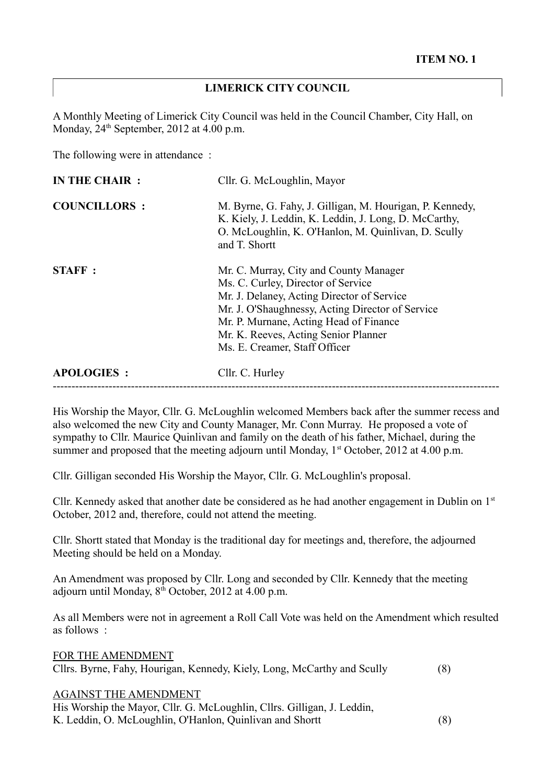## **LIMERICK CITY COUNCIL**

A Monthly Meeting of Limerick City Council was held in the Council Chamber, City Hall, on Monday,  $24<sup>th</sup>$  September,  $2012$  at  $4.00$  p.m.

The following were in attendance :

| <b>APOLOGIES:</b>   | Cllr. C. Hurley                                                                                                                                                                                                                                         |
|---------------------|---------------------------------------------------------------------------------------------------------------------------------------------------------------------------------------------------------------------------------------------------------|
|                     | Ms. C. Curley, Director of Service<br>Mr. J. Delaney, Acting Director of Service<br>Mr. J. O'Shaughnessy, Acting Director of Service<br>Mr. P. Murnane, Acting Head of Finance<br>Mr. K. Reeves, Acting Senior Planner<br>Ms. E. Creamer, Staff Officer |
| <b>STAFF:</b>       | Mr. C. Murray, City and County Manager                                                                                                                                                                                                                  |
| <b>COUNCILLORS:</b> | M. Byrne, G. Fahy, J. Gilligan, M. Hourigan, P. Kennedy,<br>K. Kiely, J. Leddin, K. Leddin, J. Long, D. McCarthy,<br>O. McLoughlin, K. O'Hanlon, M. Quinlivan, D. Scully<br>and T. Shortt                                                               |
| IN THE CHAIR :      | Cllr. G. McLoughlin, Mayor                                                                                                                                                                                                                              |

His Worship the Mayor, Cllr. G. McLoughlin welcomed Members back after the summer recess and also welcomed the new City and County Manager, Mr. Conn Murray. He proposed a vote of sympathy to Cllr. Maurice Quinlivan and family on the death of his father, Michael, during the summer and proposed that the meeting adjourn until Monday,  $1<sup>st</sup> October, 2012$  at 4.00 p.m.

Cllr. Gilligan seconded His Worship the Mayor, Cllr. G. McLoughlin's proposal.

Cllr. Kennedy asked that another date be considered as he had another engagement in Dublin on  $1<sup>st</sup>$ October, 2012 and, therefore, could not attend the meeting.

Cllr. Shortt stated that Monday is the traditional day for meetings and, therefore, the adjourned Meeting should be held on a Monday.

An Amendment was proposed by Cllr. Long and seconded by Cllr. Kennedy that the meeting adjourn until Monday,  $8<sup>th</sup>$  October, 2012 at 4.00 p.m.

As all Members were not in agreement a Roll Call Vote was held on the Amendment which resulted as follows :

FOR THE AMENDMENT Cllrs. Byrne, Fahy, Hourigan, Kennedy, Kiely, Long, McCarthy and Scully (8)

## AGAINST THE AMENDMENT

His Worship the Mayor, Cllr. G. McLoughlin, Cllrs. Gilligan, J. Leddin, K. Leddin, O. McLoughlin, O'Hanlon, Quinlivan and Shortt (8)